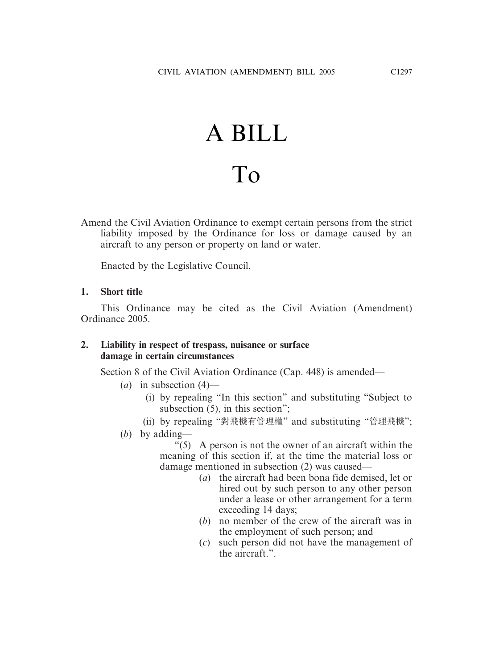# A BILL To

Amend the Civil Aviation Ordinance to exempt certain persons from the strict liability imposed by the Ordinance for loss or damage caused by an aircraft to any person or property on land or water.

Enacted by the Legislative Council.

## **1. Short title**

This Ordinance may be cited as the Civil Aviation (Amendment) Ordinance 2005.

## **2. Liability in respect of trespass, nuisance or surface damage in certain circumstances**

Section 8 of the Civil Aviation Ordinance (Cap. 448) is amended—

- (*a*) in subsection (4)—
	- (i) by repealing "In this section" and substituting "Subject to subsection (5), in this section";
	- (ii) by repealing "對飛機有管理權" and substituting "管理飛機";
- (*b*) by adding—

 $\degree$ (5) A person is not the owner of an aircraft within the meaning of this section if, at the time the material loss or damage mentioned in subsection (2) was caused—

- (*a*) the aircraft had been bona fide demised, let or hired out by such person to any other person under a lease or other arrangement for a term exceeding 14 days;
- (*b*) no member of the crew of the aircraft was in the employment of such person; and
- (*c*) such person did not have the management of the aircraft."